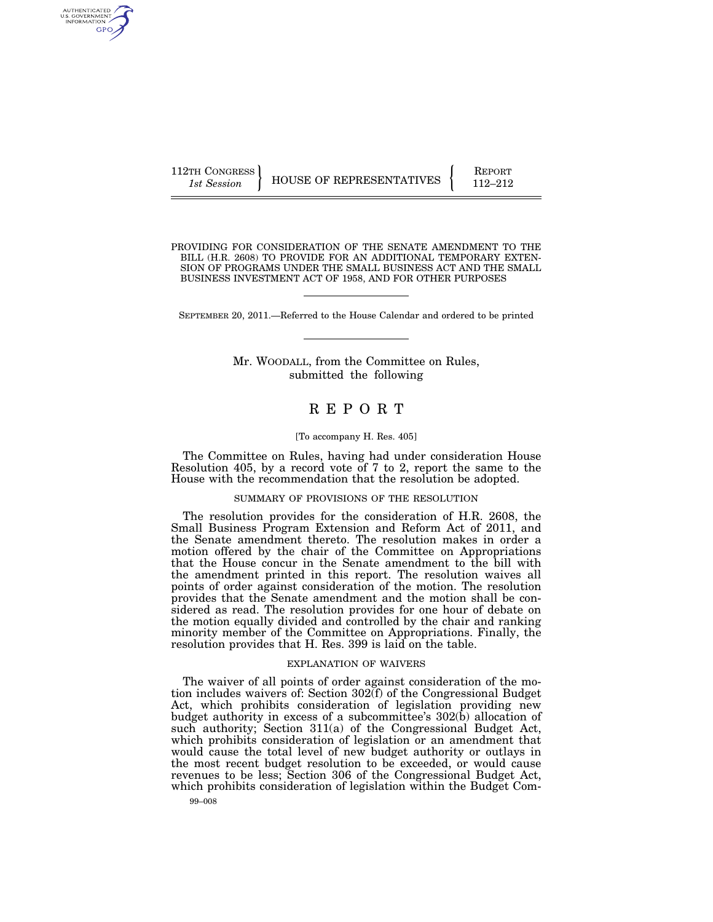AUTHENTICATED U.S. GOVERNMENT GPO

PROVIDING FOR CONSIDERATION OF THE SENATE AMENDMENT TO THE BILL (H.R. 2608) TO PROVIDE FOR AN ADDITIONAL TEMPORARY EXTEN-SION OF PROGRAMS UNDER THE SMALL BUSINESS ACT AND THE SMALL BUSINESS INVESTMENT ACT OF 1958, AND FOR OTHER PURPOSES

SEPTEMBER 20, 2011.—Referred to the House Calendar and ordered to be printed

Mr. WOODALL, from the Committee on Rules, submitted the following

# R E P O R T

### [To accompany H. Res. 405]

The Committee on Rules, having had under consideration House Resolution 405, by a record vote of 7 to 2, report the same to the House with the recommendation that the resolution be adopted.

## SUMMARY OF PROVISIONS OF THE RESOLUTION

The resolution provides for the consideration of H.R. 2608, the Small Business Program Extension and Reform Act of 2011, and the Senate amendment thereto. The resolution makes in order a motion offered by the chair of the Committee on Appropriations that the House concur in the Senate amendment to the bill with the amendment printed in this report. The resolution waives all points of order against consideration of the motion. The resolution provides that the Senate amendment and the motion shall be considered as read. The resolution provides for one hour of debate on the motion equally divided and controlled by the chair and ranking minority member of the Committee on Appropriations. Finally, the resolution provides that H. Res. 399 is laid on the table.

#### EXPLANATION OF WAIVERS

The waiver of all points of order against consideration of the motion includes waivers of: Section 302(f) of the Congressional Budget Act, which prohibits consideration of legislation providing new budget authority in excess of a subcommittee's 302(b) allocation of such authority; Section 311(a) of the Congressional Budget Act, which prohibits consideration of legislation or an amendment that would cause the total level of new budget authority or outlays in the most recent budget resolution to be exceeded, or would cause revenues to be less; Section 306 of the Congressional Budget Act, which prohibits consideration of legislation within the Budget Com-

99–008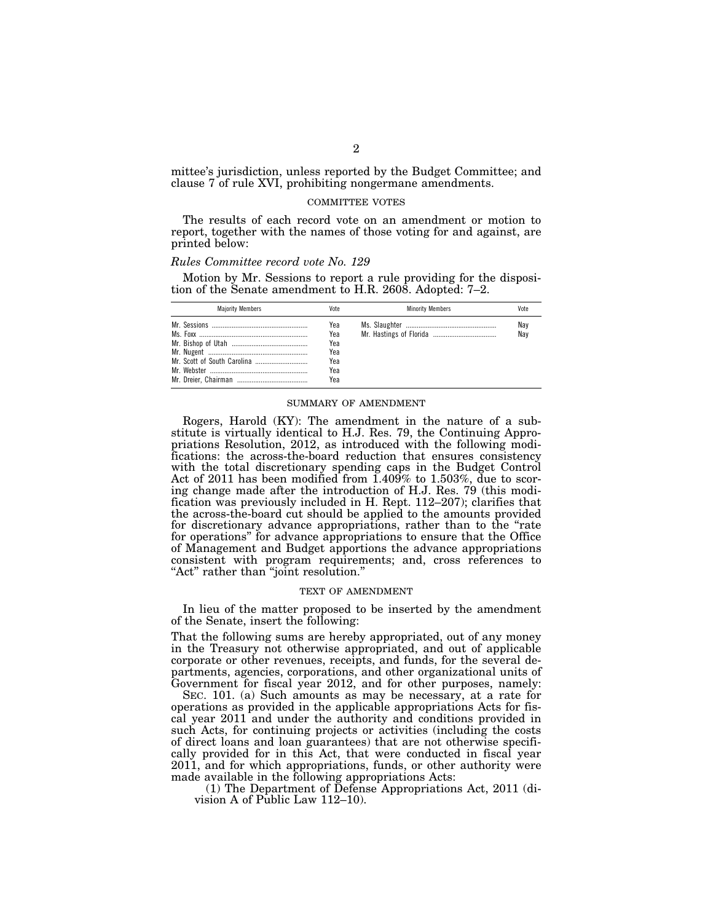mittee's jurisdiction, unless reported by the Budget Committee; and clause 7 of rule XVI, prohibiting nongermane amendments.

#### COMMITTEE VOTES

The results of each record vote on an amendment or motion to report, together with the names of those voting for and against, are printed below:

#### *Rules Committee record vote No. 129*

Motion by Mr. Sessions to report a rule providing for the disposition of the Senate amendment to H.R. 2608. Adopted: 7–2.

| <b>Maiority Members</b> | Vote                                          | <b>Minority Members</b> | Vote       |
|-------------------------|-----------------------------------------------|-------------------------|------------|
|                         | Yea<br>Yea<br>Yea<br>Yea<br>Yea<br>Yea<br>Yea |                         | Nay<br>Nav |

# SUMMARY OF AMENDMENT

Rogers, Harold (KY): The amendment in the nature of a substitute is virtually identical to H.J. Res. 79, the Continuing Appropriations Resolution, 2012, as introduced with the following modifications: the across-the-board reduction that ensures consistency with the total discretionary spending caps in the Budget Control Act of 2011 has been modified from 1.409% to 1.503%, due to scoring change made after the introduction of H.J. Res. 79 (this modification was previously included in H. Rept. 112–207); clarifies that the across-the-board cut should be applied to the amounts provided for discretionary advance appropriations, rather than to the ''rate for operations'' for advance appropriations to ensure that the Office of Management and Budget apportions the advance appropriations consistent with program requirements; and, cross references to "Act" rather than "joint resolution."

## TEXT OF AMENDMENT

In lieu of the matter proposed to be inserted by the amendment of the Senate, insert the following:

That the following sums are hereby appropriated, out of any money in the Treasury not otherwise appropriated, and out of applicable corporate or other revenues, receipts, and funds, for the several departments, agencies, corporations, and other organizational units of Government for fiscal year 2012, and for other purposes, namely:

SEC. 101. (a) Such amounts as may be necessary, at a rate for operations as provided in the applicable appropriations Acts for fiscal year 2011 and under the authority and conditions provided in such Acts, for continuing projects or activities (including the costs of direct loans and loan guarantees) that are not otherwise specifically provided for in this Act, that were conducted in fiscal year 2011, and for which appropriations, funds, or other authority were made available in the following appropriations Acts:

(1) The Department of Defense Appropriations Act, 2011 (division A of Public Law 112–10).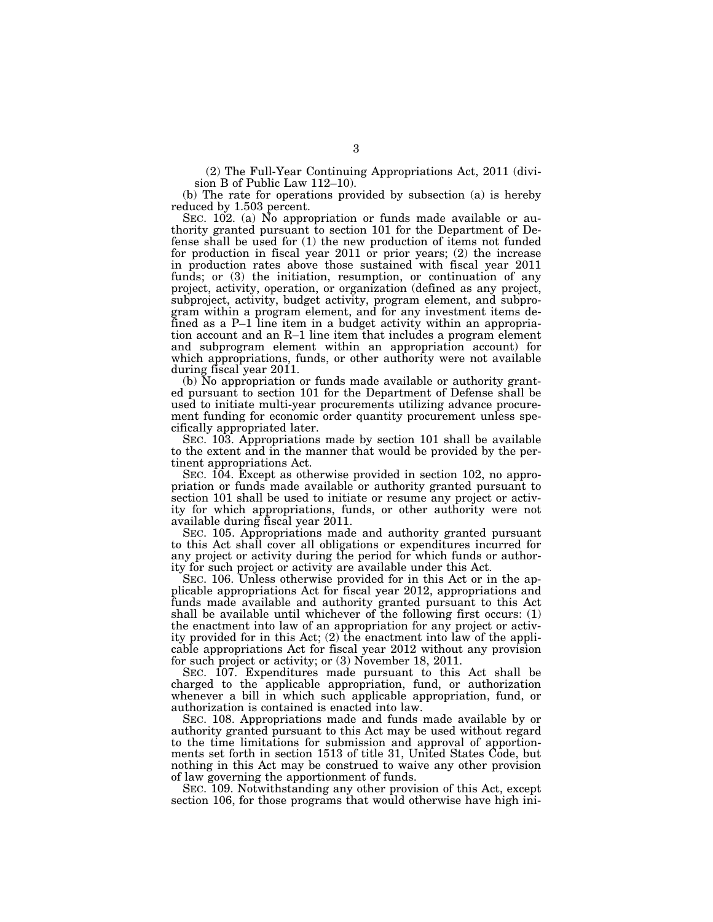(2) The Full-Year Continuing Appropriations Act, 2011 (division B of Public Law 112–10).

(b) The rate for operations provided by subsection (a) is hereby reduced by 1.503 percent.

SEC. 102. (a) No appropriation or funds made available or authority granted pursuant to section 101 for the Department of Defense shall be used for (1) the new production of items not funded for production in fiscal year 2011 or prior years; (2) the increase in production rates above those sustained with fiscal year 2011 funds; or  $(3)$  the initiation, resumption, or continuation of any project, activity, operation, or organization (defined as any project, subproject, activity, budget activity, program element, and subprogram within a program element, and for any investment items defined as a P–1 line item in a budget activity within an appropriation account and an R–1 line item that includes a program element and subprogram element within an appropriation account) for which appropriations, funds, or other authority were not available during fiscal year 2011.

(b) No appropriation or funds made available or authority granted pursuant to section 101 for the Department of Defense shall be used to initiate multi-year procurements utilizing advance procurement funding for economic order quantity procurement unless specifically appropriated later.

SEC. 103. Appropriations made by section 101 shall be available to the extent and in the manner that would be provided by the pertinent appropriations Act.

SEC. 104. Except as otherwise provided in section 102, no appropriation or funds made available or authority granted pursuant to section 101 shall be used to initiate or resume any project or activity for which appropriations, funds, or other authority were not available during fiscal year 2011.

SEC. 105. Appropriations made and authority granted pursuant to this Act shall cover all obligations or expenditures incurred for any project or activity during the period for which funds or authority for such project or activity are available under this Act.

SEC. 106. Unless otherwise provided for in this Act or in the applicable appropriations Act for fiscal year 2012, appropriations and funds made available and authority granted pursuant to this Act shall be available until whichever of the following first occurs: (1) the enactment into law of an appropriation for any project or activity provided for in this Act; (2) the enactment into law of the applicable appropriations Act for fiscal year 2012 without any provision for such project or activity; or (3) November 18, 2011.

SEC. 107. Expenditures made pursuant to this Act shall be charged to the applicable appropriation, fund, or authorization whenever a bill in which such applicable appropriation, fund, or authorization is contained is enacted into law.

SEC. 108. Appropriations made and funds made available by or authority granted pursuant to this Act may be used without regard to the time limitations for submission and approval of apportionments set forth in section 1513 of title 31, United States Code, but nothing in this Act may be construed to waive any other provision of law governing the apportionment of funds.

SEC. 109. Notwithstanding any other provision of this Act, except section 106, for those programs that would otherwise have high ini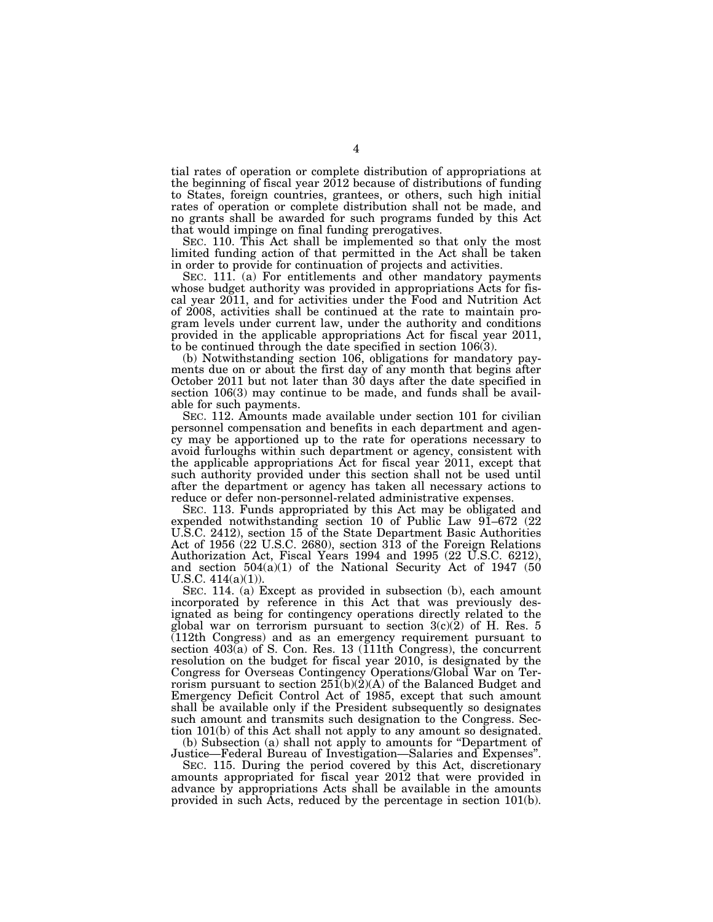tial rates of operation or complete distribution of appropriations at the beginning of fiscal year 2012 because of distributions of funding to States, foreign countries, grantees, or others, such high initial rates of operation or complete distribution shall not be made, and no grants shall be awarded for such programs funded by this Act that would impinge on final funding prerogatives.

SEC. 110. This Act shall be implemented so that only the most limited funding action of that permitted in the Act shall be taken in order to provide for continuation of projects and activities.

SEC. 111. (a) For entitlements and other mandatory payments whose budget authority was provided in appropriations Acts for fiscal year 2011, and for activities under the Food and Nutrition Act of 2008, activities shall be continued at the rate to maintain program levels under current law, under the authority and conditions provided in the applicable appropriations Act for fiscal year 2011, to be continued through the date specified in section 106(3).

(b) Notwithstanding section 106, obligations for mandatory payments due on or about the first day of any month that begins after October 2011 but not later than 30 days after the date specified in section 106(3) may continue to be made, and funds shall be available for such payments.

SEC. 112. Amounts made available under section 101 for civilian personnel compensation and benefits in each department and agency may be apportioned up to the rate for operations necessary to avoid furloughs within such department or agency, consistent with the applicable appropriations Act for fiscal year 2011, except that such authority provided under this section shall not be used until after the department or agency has taken all necessary actions to reduce or defer non-personnel-related administrative expenses.

SEC. 113. Funds appropriated by this Act may be obligated and expended notwithstanding section 10 of Public Law 91–672 (22 U.S.C. 2412), section 15 of the State Department Basic Authorities Act of 1956 (22 U.S.C. 2680), section 313 of the Foreign Relations Authorization Act, Fiscal Years 1994 and 1995 (22 U.S.C. 6212), and section 504(a)(1) of the National Security Act of 1947 (50 U.S.C.  $414(a)(1)$ .

SEC. 114. (a) Except as provided in subsection (b), each amount incorporated by reference in this Act that was previously designated as being for contingency operations directly related to the global war on terrorism pursuant to section  $3(c)(2)$  of H. Res. 5 (112th Congress) and as an emergency requirement pursuant to section 403(a) of S. Con. Res. 13 (111th Congress), the concurrent resolution on the budget for fiscal year 2010, is designated by the Congress for Overseas Contingency Operations/Global War on Terrorism pursuant to section  $25\tilde{I}(b)(2)(A)$  of the Balanced Budget and Emergency Deficit Control Act of 1985, except that such amount shall be available only if the President subsequently so designates such amount and transmits such designation to the Congress. Section 101(b) of this Act shall not apply to any amount so designated.

(b) Subsection (a) shall not apply to amounts for ''Department of Justice—Federal Bureau of Investigation—Salaries and Expenses''.

SEC. 115. During the period covered by this Act, discretionary amounts appropriated for fiscal year 2012 that were provided in advance by appropriations Acts shall be available in the amounts provided in such Acts, reduced by the percentage in section 101(b).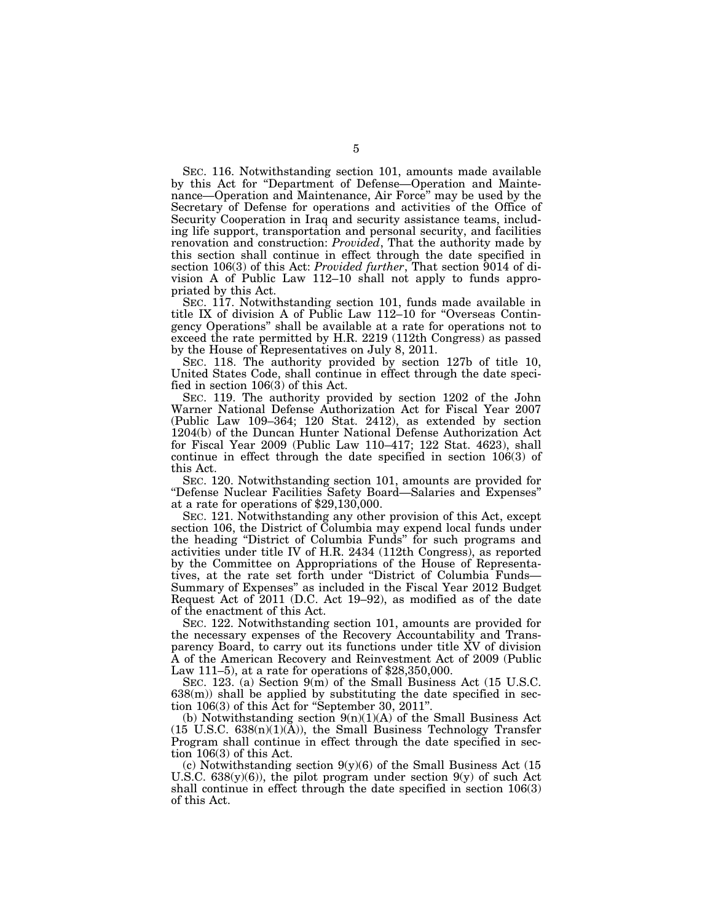SEC. 116. Notwithstanding section 101, amounts made available by this Act for ''Department of Defense—Operation and Maintenance—Operation and Maintenance, Air Force'' may be used by the Secretary of Defense for operations and activities of the Office of Security Cooperation in Iraq and security assistance teams, including life support, transportation and personal security, and facilities renovation and construction: *Provided*, That the authority made by this section shall continue in effect through the date specified in section 106(3) of this Act: *Provided further*, That section 9014 of division A of Public Law 112–10 shall not apply to funds appropriated by this Act.

SEC. 117. Notwithstanding section 101, funds made available in title IX of division A of Public Law 112–10 for ''Overseas Contingency Operations'' shall be available at a rate for operations not to exceed the rate permitted by H.R. 2219 (112th Congress) as passed by the House of Representatives on July 8, 2011.

SEC. 118. The authority provided by section 127b of title 10, United States Code, shall continue in effect through the date specified in section 106(3) of this Act.

SEC. 119. The authority provided by section 1202 of the John Warner National Defense Authorization Act for Fiscal Year 2007 (Public Law 109–364; 120 Stat. 2412), as extended by section 1204(b) of the Duncan Hunter National Defense Authorization Act for Fiscal Year 2009 (Public Law 110–417; 122 Stat. 4623), shall continue in effect through the date specified in section 106(3) of this Act.

SEC. 120. Notwithstanding section 101, amounts are provided for ''Defense Nuclear Facilities Safety Board—Salaries and Expenses'' at a rate for operations of \$29,130,000.

SEC. 121. Notwithstanding any other provision of this Act, except section 106, the District of Columbia may expend local funds under the heading ''District of Columbia Funds'' for such programs and activities under title IV of H.R. 2434 (112th Congress), as reported by the Committee on Appropriations of the House of Representatives, at the rate set forth under ''District of Columbia Funds— Summary of Expenses'' as included in the Fiscal Year 2012 Budget Request Act of 2011 (D.C. Act 19–92), as modified as of the date of the enactment of this Act.

SEC. 122. Notwithstanding section 101, amounts are provided for the necessary expenses of the Recovery Accountability and Transparency Board, to carry out its functions under title XV of division A of the American Recovery and Reinvestment Act of 2009 (Public Law 111–5), at a rate for operations of \$28,350,000.

SEC. 123. (a) Section 9(m) of the Small Business Act (15 U.S.C. 638(m)) shall be applied by substituting the date specified in section 106(3) of this Act for ''September 30, 2011''.

(b) Notwithstanding section  $9(n)(1)(A)$  of the Small Business Act  $(15 \text{ U.S.C. } 638(n)(1)(\text{A}))$ , the Small Business Technology Transfer Program shall continue in effect through the date specified in section 106(3) of this Act.

(c) Notwithstanding section 9(y)(6) of the Small Business Act (15 U.S.C.  $638(y)(6)$ , the pilot program under section  $9(y)$  of such Act shall continue in effect through the date specified in section 106(3) of this Act.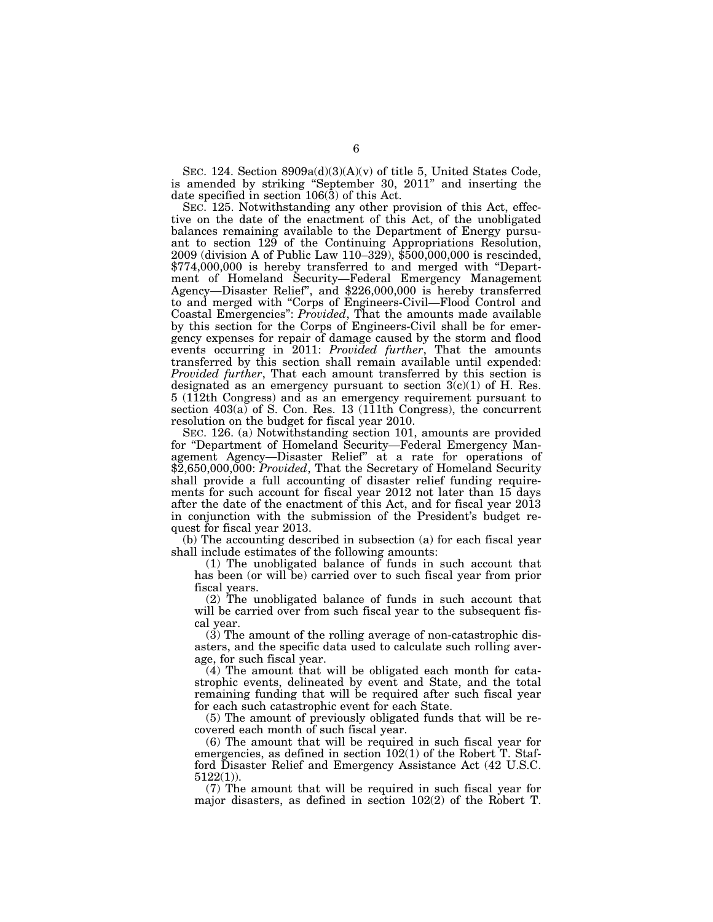SEC. 124. Section  $8909a(d)(3)(A)(v)$  of title 5, United States Code, is amended by striking ''September 30, 2011'' and inserting the date specified in section 106(3) of this Act.

SEC. 125. Notwithstanding any other provision of this Act, effective on the date of the enactment of this Act, of the unobligated balances remaining available to the Department of Energy pursuant to section 129 of the Continuing Appropriations Resolution, 2009 (division A of Public Law 110–329), \$500,000,000 is rescinded, \$774,000,000 is hereby transferred to and merged with "Department of Homeland Security—Federal Emergency Management Agency—Disaster Relief'', and \$226,000,000 is hereby transferred to and merged with ''Corps of Engineers-Civil—Flood Control and Coastal Emergencies'': *Provided*, That the amounts made available by this section for the Corps of Engineers-Civil shall be for emergency expenses for repair of damage caused by the storm and flood events occurring in 2011: *Provided further*, That the amounts transferred by this section shall remain available until expended: *Provided further*, That each amount transferred by this section is designated as an emergency pursuant to section  $3(c)(1)$  of H. Res. 5 (112th Congress) and as an emergency requirement pursuant to section  $403(a)$  of S. Con. Res. 13 (111th Congress), the concurrent resolution on the budget for fiscal year 2010.

SEC. 126. (a) Notwithstanding section 101, amounts are provided for ''Department of Homeland Security—Federal Emergency Management Agency—Disaster Relief'' at a rate for operations of \$2,650,000,000: *Provided*, That the Secretary of Homeland Security shall provide a full accounting of disaster relief funding requirements for such account for fiscal year 2012 not later than 15 days after the date of the enactment of this Act, and for fiscal year 2013 in conjunction with the submission of the President's budget request for fiscal year 2013.

(b) The accounting described in subsection (a) for each fiscal year shall include estimates of the following amounts:

(1) The unobligated balance of funds in such account that has been (or will be) carried over to such fiscal year from prior fiscal years.

(2) The unobligated balance of funds in such account that will be carried over from such fiscal year to the subsequent fiscal year.

(3) The amount of the rolling average of non-catastrophic disasters, and the specific data used to calculate such rolling average, for such fiscal year.

(4) The amount that will be obligated each month for catastrophic events, delineated by event and State, and the total remaining funding that will be required after such fiscal year for each such catastrophic event for each State.

(5) The amount of previously obligated funds that will be recovered each month of such fiscal year.

(6) The amount that will be required in such fiscal year for emergencies, as defined in section 102(1) of the Robert T. Stafford Disaster Relief and Emergency Assistance Act (42 U.S.C. 5122(1)).

(7) The amount that will be required in such fiscal year for major disasters, as defined in section 102(2) of the Robert T.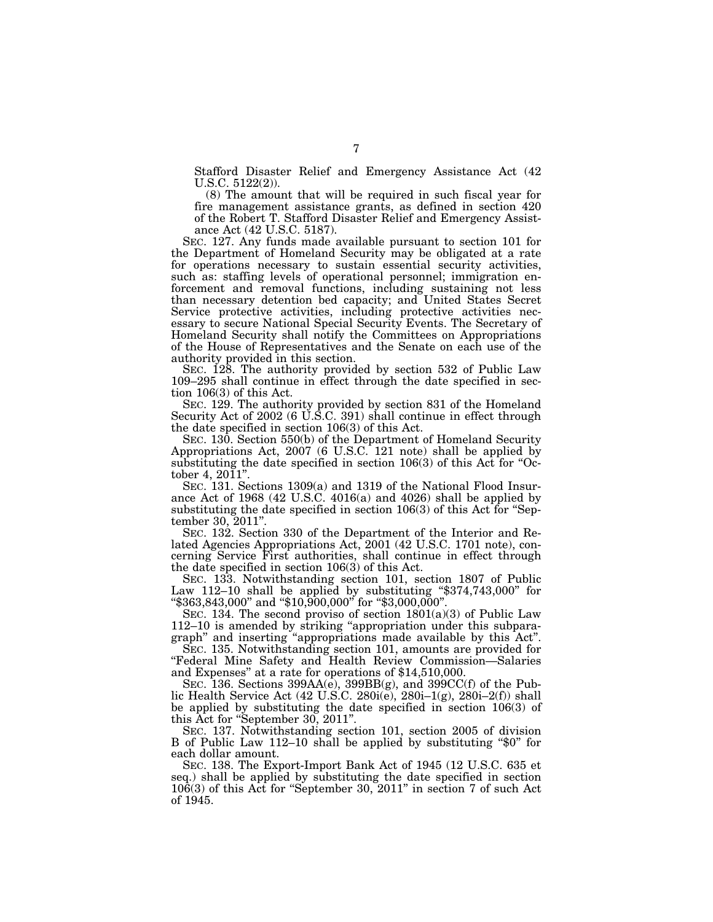Stafford Disaster Relief and Emergency Assistance Act (42 U.S.C. 5122(2)).

(8) The amount that will be required in such fiscal year for fire management assistance grants, as defined in section 420 of the Robert T. Stafford Disaster Relief and Emergency Assistance Act (42 U.S.C. 5187).

SEC. 127. Any funds made available pursuant to section 101 for the Department of Homeland Security may be obligated at a rate for operations necessary to sustain essential security activities, such as: staffing levels of operational personnel; immigration enforcement and removal functions, including sustaining not less than necessary detention bed capacity; and United States Secret Service protective activities, including protective activities necessary to secure National Special Security Events. The Secretary of Homeland Security shall notify the Committees on Appropriations of the House of Representatives and the Senate on each use of the authority provided in this section.

SEC. 128. The authority provided by section 532 of Public Law 109–295 shall continue in effect through the date specified in section 106(3) of this Act.

SEC. 129. The authority provided by section 831 of the Homeland Security Act of 2002 (6 U.S.C. 391) shall continue in effect through the date specified in section 106(3) of this Act.

SEC. 130. Section 550(b) of the Department of Homeland Security Appropriations Act, 2007 (6 U.S.C. 121 note) shall be applied by substituting the date specified in section 106(3) of this Act for "October 4, 2011''.

SEC. 131. Sections 1309(a) and 1319 of the National Flood Insurance Act of 1968 (42 U.S.C. 4016(a) and 4026) shall be applied by substituting the date specified in section 106(3) of this Act for "September 30, 2011''.

SEC. 132. Section 330 of the Department of the Interior and Related Agencies Appropriations Act, 2001 (42 U.S.C. 1701 note), concerning Service First authorities, shall continue in effect through the date specified in section 106(3) of this Act.

SEC. 133. Notwithstanding section 101, section 1807 of Public Law 112–10 shall be applied by substituting ''\$374,743,000'' for ''\$363,843,000'' and ''\$10,900,000'' for ''\$3,000,000''.

SEC. 134. The second proviso of section  $1801(a)(3)$  of Public Law 112–10 is amended by striking ''appropriation under this subparagraph'' and inserting ''appropriations made available by this Act''.

SEC. 135. Notwithstanding section 101, amounts are provided for ''Federal Mine Safety and Health Review Commission—Salaries and Expenses'' at a rate for operations of \$14,510,000.

SEC. 136. Sections 399AA(e), 399BB(g), and 399CC(f) of the Public Health Service Act  $(42 \text{ U.S.C. } 280i(\text{e}), 280i-1(\text{g}), 280i-2(\text{f}))$  shall be applied by substituting the date specified in section 106(3) of this Act for ''September 30, 2011''.

SEC. 137. Notwithstanding section 101, section 2005 of division B of Public Law 112–10 shall be applied by substituting "\$0" for each dollar amount.

SEC. 138. The Export-Import Bank Act of 1945 (12 U.S.C. 635 et seq.) shall be applied by substituting the date specified in section 106(3) of this Act for ''September 30, 2011'' in section 7 of such Act of 1945.